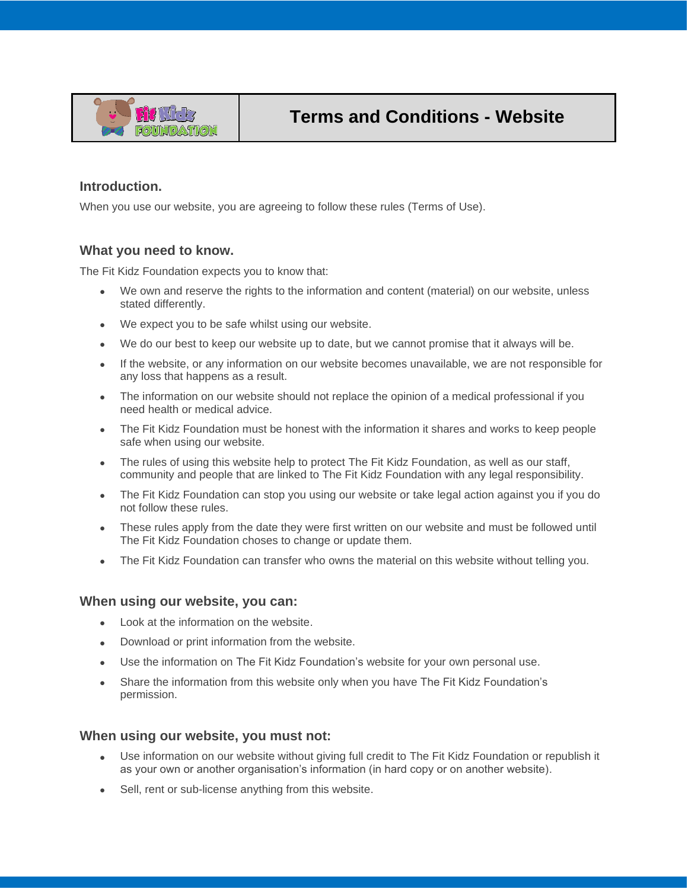

## **Introduction.**

When you use our website, you are agreeing to follow these rules (Terms of Use).

### **What you need to know.**

The Fit Kidz Foundation expects you to know that:

- We own and reserve the rights to the information and content (material) on our website, unless stated differently.
- We expect you to be safe whilst using our website.
- We do our best to keep our website up to date, but we cannot promise that it always will be.
- If the website, or any information on our website becomes unavailable, we are not responsible for any loss that happens as a result.
- The information on our website should not replace the opinion of a medical professional if you need health or medical advice.
- The Fit Kidz Foundation must be honest with the information it shares and works to keep people safe when using our website.
- The rules of using this website help to protect The Fit Kidz Foundation, as well as our staff, community and people that are linked to The Fit Kidz Foundation with any legal responsibility.
- The Fit Kidz Foundation can stop you using our website or take legal action against you if you do not follow these rules.
- These rules apply from the date they were first written on our website and must be followed until The Fit Kidz Foundation choses to change or update them.
- The Fit Kidz Foundation can transfer who owns the material on this website without telling you.

#### **When using our website, you can:**

- Look at the information on the website.
- Download or print information from the website.
- Use the information on The Fit Kidz Foundation's website for your own personal use.
- Share the information from this website only when you have The Fit Kidz Foundation's permission.

#### **When using our website, you must not:**

- Use information on our website without giving full credit to The Fit Kidz Foundation or republish it as your own or another organisation's information (in hard copy or on another website).
- Sell, rent or sub-license anything from this website.